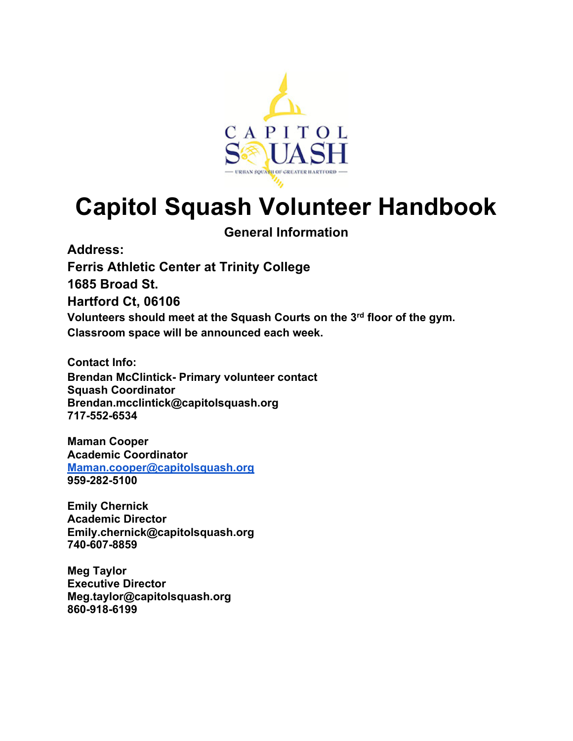

# **Capitol Squash Volunteer Handbook**

**General Information**

**Address:**

**Ferris Athletic Center at Trinity College**

**1685 Broad St.**

**Hartford Ct, 06106**

**Volunteers should meet at the Squash Courts on the 3rd floor of the gym. Classroom space will be announced each week.** 

**Contact Info: Brendan McClintick- Primary volunteer contact Squash Coordinator Brendan.mcclintick@capitolsquash.org 717-552-6534**

**Maman Cooper Academic Coordinator Maman.cooper@capitolsquash.org 959-282-5100**

**Emily Chernick Academic Director Emily.chernick@capitolsquash.org 740-607-8859**

**Meg Taylor Executive Director Meg.taylor@capitolsquash.org 860-918-6199**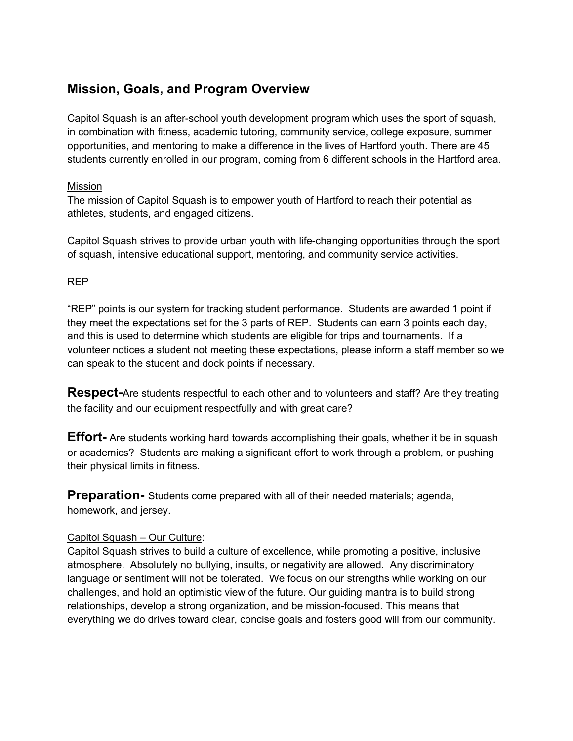# **Mission, Goals, and Program Overview**

Capitol Squash is an after-school youth development program which uses the sport of squash, in combination with fitness, academic tutoring, community service, college exposure, summer opportunities, and mentoring to make a difference in the lives of Hartford youth. There are 45 students currently enrolled in our program, coming from 6 different schools in the Hartford area.

#### Mission

The mission of Capitol Squash is to empower youth of Hartford to reach their potential as athletes, students, and engaged citizens.

Capitol Squash strives to provide urban youth with life-changing opportunities through the sport of squash, intensive educational support, mentoring, and community service activities.

### REP

"REP" points is our system for tracking student performance. Students are awarded 1 point if they meet the expectations set for the 3 parts of REP. Students can earn 3 points each day, and this is used to determine which students are eligible for trips and tournaments. If a volunteer notices a student not meeting these expectations, please inform a staff member so we can speak to the student and dock points if necessary.

**Respect-**Are students respectful to each other and to volunteers and staff? Are they treating the facility and our equipment respectfully and with great care?

**Effort-** Are students working hard towards accomplishing their goals, whether it be in squash or academics? Students are making a significant effort to work through a problem, or pushing their physical limits in fitness.

**Preparation-** Students come prepared with all of their needed materials; agenda, homework, and jersey.

### Capitol Squash – Our Culture:

Capitol Squash strives to build a culture of excellence, while promoting a positive, inclusive atmosphere. Absolutely no bullying, insults, or negativity are allowed. Any discriminatory language or sentiment will not be tolerated. We focus on our strengths while working on our challenges, and hold an optimistic view of the future. Our guiding mantra is to build strong relationships, develop a strong organization, and be mission-focused. This means that everything we do drives toward clear, concise goals and fosters good will from our community.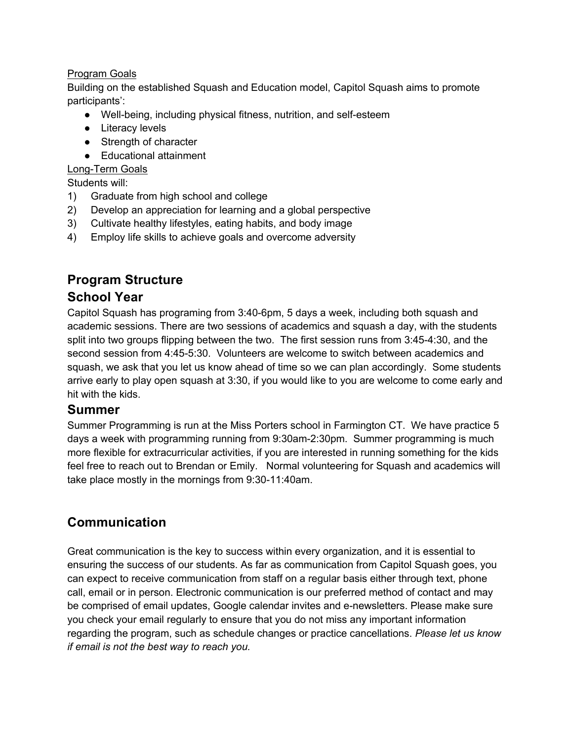## Program Goals

Building on the established Squash and Education model, Capitol Squash aims to promote participants':

- Well-being, including physical fitness, nutrition, and self-esteem
- Literacy levels
- Strength of character
- Educational attainment

### Long-Term Goals

Students will:

- 1) Graduate from high school and college
- 2) Develop an appreciation for learning and a global perspective
- 3) Cultivate healthy lifestyles, eating habits, and body image
- 4) Employ life skills to achieve goals and overcome adversity

# **Program Structure**

## **School Year**

Capitol Squash has programing from 3:40-6pm, 5 days a week, including both squash and academic sessions. There are two sessions of academics and squash a day, with the students split into two groups flipping between the two. The first session runs from 3:45-4:30, and the second session from 4:45-5:30. Volunteers are welcome to switch between academics and squash, we ask that you let us know ahead of time so we can plan accordingly. Some students arrive early to play open squash at 3:30, if you would like to you are welcome to come early and hit with the kids.

## **Summer**

Summer Programming is run at the Miss Porters school in Farmington CT. We have practice 5 days a week with programming running from 9:30am-2:30pm. Summer programming is much more flexible for extracurricular activities, if you are interested in running something for the kids feel free to reach out to Brendan or Emily. Normal volunteering for Squash and academics will take place mostly in the mornings from 9:30-11:40am.

# **Communication**

Great communication is the key to success within every organization, and it is essential to ensuring the success of our students. As far as communication from Capitol Squash goes, you can expect to receive communication from staff on a regular basis either through text, phone call, email or in person. Electronic communication is our preferred method of contact and may be comprised of email updates, Google calendar invites and e-newsletters. Please make sure you check your email regularly to ensure that you do not miss any important information regarding the program, such as schedule changes or practice cancellations. *Please let us know if email is not the best way to reach you.*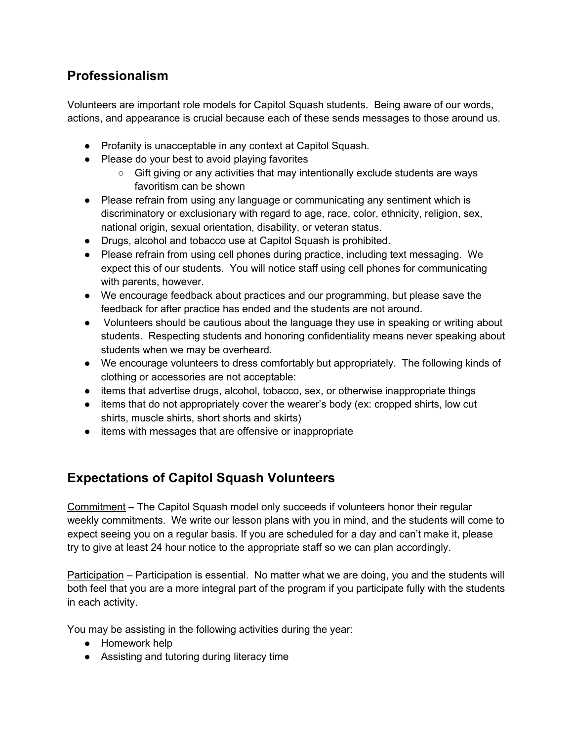# **Professionalism**

Volunteers are important role models for Capitol Squash students. Being aware of our words, actions, and appearance is crucial because each of these sends messages to those around us.

- Profanity is unacceptable in any context at Capitol Squash.
- Please do your best to avoid playing favorites
	- Gift giving or any activities that may intentionally exclude students are ways favoritism can be shown
- Please refrain from using any language or communicating any sentiment which is discriminatory or exclusionary with regard to age, race, color, ethnicity, religion, sex, national origin, sexual orientation, disability, or veteran status.
- Drugs, alcohol and tobacco use at Capitol Squash is prohibited.
- Please refrain from using cell phones during practice, including text messaging. We expect this of our students. You will notice staff using cell phones for communicating with parents, however.
- We encourage feedback about practices and our programming, but please save the feedback for after practice has ended and the students are not around.
- Volunteers should be cautious about the language they use in speaking or writing about students. Respecting students and honoring confidentiality means never speaking about students when we may be overheard.
- We encourage volunteers to dress comfortably but appropriately. The following kinds of clothing or accessories are not acceptable:
- items that advertise drugs, alcohol, tobacco, sex, or otherwise inappropriate things
- items that do not appropriately cover the wearer's body (ex: cropped shirts, low cut shirts, muscle shirts, short shorts and skirts)
- items with messages that are offensive or inappropriate

# **Expectations of Capitol Squash Volunteers**

Commitment – The Capitol Squash model only succeeds if volunteers honor their regular weekly commitments. We write our lesson plans with you in mind, and the students will come to expect seeing you on a regular basis. If you are scheduled for a day and can't make it, please try to give at least 24 hour notice to the appropriate staff so we can plan accordingly.

Participation – Participation is essential. No matter what we are doing, you and the students will both feel that you are a more integral part of the program if you participate fully with the students in each activity.

You may be assisting in the following activities during the year:

- Homework help
- Assisting and tutoring during literacy time